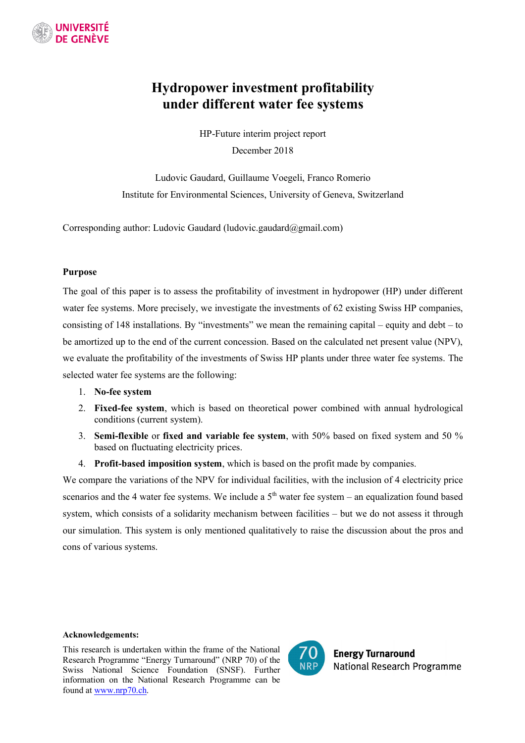

# **Hydropower investment profitability under different water fee systems**

HP-Future interim project report December 2018

Ludovic Gaudard, Guillaume Voegeli, Franco Romerio Institute for Environmental Sciences, University of Geneva, Switzerland

Corresponding author: Ludovic Gaudard (ludovic gaudard@gmail.com)

# **Purpose**

The goal of this paper is to assess the profitability of investment in hydropower (HP) under different water fee systems. More precisely, we investigate the investments of 62 existing Swiss HP companies, consisting of 148 installations. By "investments" we mean the remaining capital – equity and debt – to be amortized up to the end of the current concession. Based on the calculated net present value (NPV), we evaluate the profitability of the investments of Swiss HP plants under three water fee systems. The selected water fee systems are the following:

- 1. **No-fee system**
- 2. **Fixed-fee system**, which is based on theoretical power combined with annual hydrological conditions (current system).
- 3. **Semi-flexible** or **fixed and variable fee system**, with 50% based on fixed system and 50 % based on fluctuating electricity prices.
- 4. **Profit-based imposition system**, which is based on the profit made by companies.

We compare the variations of the NPV for individual facilities, with the inclusion of 4 electricity price scenarios and the 4 water fee systems. We include a  $5<sup>th</sup>$  water fee system – an equalization found based system, which consists of a solidarity mechanism between facilities – but we do not assess it through our simulation. This system is only mentioned qualitatively to raise the discussion about the pros and cons of various systems.

# **Acknowledgements:**

This research is undertaken within the frame of the National Research Programme "Energy Turnaround" (NRP 70) of the Swiss National Science Foundation (SNSF). Further information on the National Research Programme can be found at www.nrp70.ch.



**Energy Turnaround** National Research Programme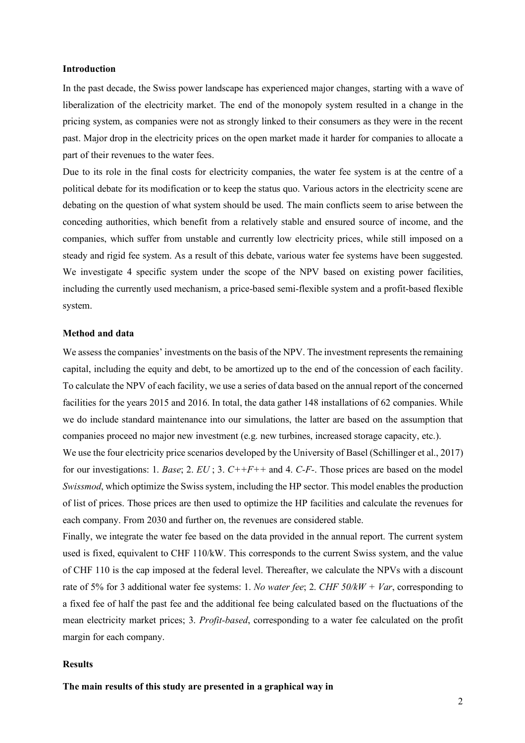# **Introduction**

In the past decade, the Swiss power landscape has experienced major changes, starting with a wave of liberalization of the electricity market. The end of the monopoly system resulted in a change in the pricing system, as companies were not as strongly linked to their consumers as they were in the recent past. Major drop in the electricity prices on the open market made it harder for companies to allocate a part of their revenues to the water fees.

Due to its role in the final costs for electricity companies, the water fee system is at the centre of a political debate for its modification or to keep the status quo. Various actors in the electricity scene are debating on the question of what system should be used. The main conflicts seem to arise between the conceding authorities, which benefit from a relatively stable and ensured source of income, and the companies, which suffer from unstable and currently low electricity prices, while still imposed on a steady and rigid fee system. As a result of this debate, various water fee systems have been suggested. We investigate 4 specific system under the scope of the NPV based on existing power facilities, including the currently used mechanism, a price-based semi-flexible system and a profit-based flexible system.

# **Method and data**

We assess the companies' investments on the basis of the NPV. The investment represents the remaining capital, including the equity and debt, to be amortized up to the end of the concession of each facility. To calculate the NPV of each facility, we use a series of data based on the annual report of the concerned facilities for the years 2015 and 2016. In total, the data gather 148 installations of 62 companies. While we do include standard maintenance into our simulations, the latter are based on the assumption that companies proceed no major new investment (e.g. new turbines, increased storage capacity, etc.).

We use the four electricity price scenarios developed by the University of Basel (Schillinger et al., 2017) for our investigations: 1. *Base*; 2. *EU* ; 3. *C++F++* and 4. *C-F-*. Those prices are based on the model *Swissmod*, which optimize the Swiss system, including the HP sector. This model enables the production of list of prices. Those prices are then used to optimize the HP facilities and calculate the revenues for each company. From 2030 and further on, the revenues are considered stable.

Finally, we integrate the water fee based on the data provided in the annual report. The current system used is fixed, equivalent to CHF 110/kW. This corresponds to the current Swiss system, and the value of CHF 110 is the cap imposed at the federal level. Thereafter, we calculate the NPVs with a discount rate of 5% for 3 additional water fee systems: 1. *No water fee*; 2. *CHF 50/kW + Var*, corresponding to a fixed fee of half the past fee and the additional fee being calculated based on the fluctuations of the mean electricity market prices; 3. *Profit-based*, corresponding to a water fee calculated on the profit margin for each company.

# **Results**

**The main results of this study are presented in a graphical way in**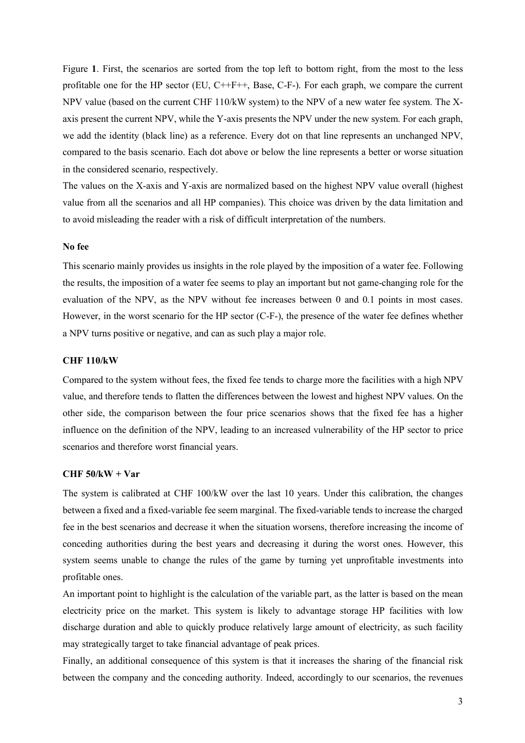Figure **1**. First, the scenarios are sorted from the top left to bottom right, from the most to the less profitable one for the HP sector (EU, C++F++, Base, C-F-). For each graph, we compare the current NPV value (based on the current CHF 110/kW system) to the NPV of a new water fee system. The Xaxis present the current NPV, while the Y-axis presents the NPV under the new system. For each graph, we add the identity (black line) as a reference. Every dot on that line represents an unchanged NPV, compared to the basis scenario. Each dot above or below the line represents a better or worse situation in the considered scenario, respectively.

The values on the X-axis and Y-axis are normalized based on the highest NPV value overall (highest value from all the scenarios and all HP companies). This choice was driven by the data limitation and to avoid misleading the reader with a risk of difficult interpretation of the numbers.

# **No fee**

This scenario mainly provides us insights in the role played by the imposition of a water fee. Following the results, the imposition of a water fee seems to play an important but not game-changing role for the evaluation of the NPV, as the NPV without fee increases between 0 and 0.1 points in most cases. However, in the worst scenario for the HP sector (C-F-), the presence of the water fee defines whether a NPV turns positive or negative, and can as such play a major role.

#### **CHF 110/kW**

Compared to the system without fees, the fixed fee tends to charge more the facilities with a high NPV value, and therefore tends to flatten the differences between the lowest and highest NPV values. On the other side, the comparison between the four price scenarios shows that the fixed fee has a higher influence on the definition of the NPV, leading to an increased vulnerability of the HP sector to price scenarios and therefore worst financial years.

# **CHF 50/kW + Var**

The system is calibrated at CHF 100/kW over the last 10 years. Under this calibration, the changes between a fixed and a fixed-variable fee seem marginal. The fixed-variable tends to increase the charged fee in the best scenarios and decrease it when the situation worsens, therefore increasing the income of conceding authorities during the best years and decreasing it during the worst ones. However, this system seems unable to change the rules of the game by turning yet unprofitable investments into profitable ones.

An important point to highlight is the calculation of the variable part, as the latter is based on the mean electricity price on the market. This system is likely to advantage storage HP facilities with low discharge duration and able to quickly produce relatively large amount of electricity, as such facility may strategically target to take financial advantage of peak prices.

Finally, an additional consequence of this system is that it increases the sharing of the financial risk between the company and the conceding authority. Indeed, accordingly to our scenarios, the revenues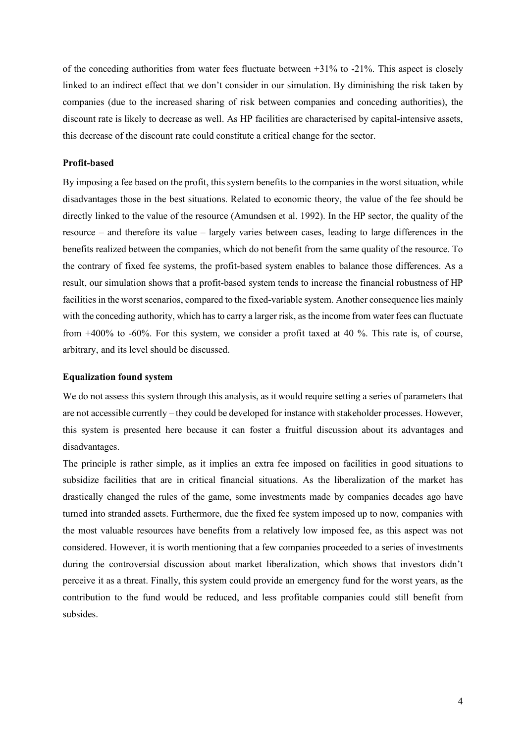of the conceding authorities from water fees fluctuate between  $+31\%$  to  $-21\%$ . This aspect is closely linked to an indirect effect that we don't consider in our simulation. By diminishing the risk taken by companies (due to the increased sharing of risk between companies and conceding authorities), the discount rate is likely to decrease as well. As HP facilities are characterised by capital-intensive assets, this decrease of the discount rate could constitute a critical change for the sector.

### **Profit-based**

By imposing a fee based on the profit, this system benefits to the companies in the worst situation, while disadvantages those in the best situations. Related to economic theory, the value of the fee should be directly linked to the value of the resource (Amundsen et al. 1992). In the HP sector, the quality of the resource – and therefore its value – largely varies between cases, leading to large differences in the benefits realized between the companies, which do not benefit from the same quality of the resource. To the contrary of fixed fee systems, the profit-based system enables to balance those differences. As a result, our simulation shows that a profit-based system tends to increase the financial robustness of HP facilities in the worst scenarios, compared to the fixed-variable system. Another consequence lies mainly with the conceding authority, which has to carry a larger risk, as the income from water fees can fluctuate from +400% to -60%. For this system, we consider a profit taxed at 40 %. This rate is, of course, arbitrary, and its level should be discussed.

#### **Equalization found system**

We do not assess this system through this analysis, as it would require setting a series of parameters that are not accessible currently – they could be developed for instance with stakeholder processes. However, this system is presented here because it can foster a fruitful discussion about its advantages and disadvantages.

The principle is rather simple, as it implies an extra fee imposed on facilities in good situations to subsidize facilities that are in critical financial situations. As the liberalization of the market has drastically changed the rules of the game, some investments made by companies decades ago have turned into stranded assets. Furthermore, due the fixed fee system imposed up to now, companies with the most valuable resources have benefits from a relatively low imposed fee, as this aspect was not considered. However, it is worth mentioning that a few companies proceeded to a series of investments during the controversial discussion about market liberalization, which shows that investors didn't perceive it as a threat. Finally, this system could provide an emergency fund for the worst years, as the contribution to the fund would be reduced, and less profitable companies could still benefit from subsides.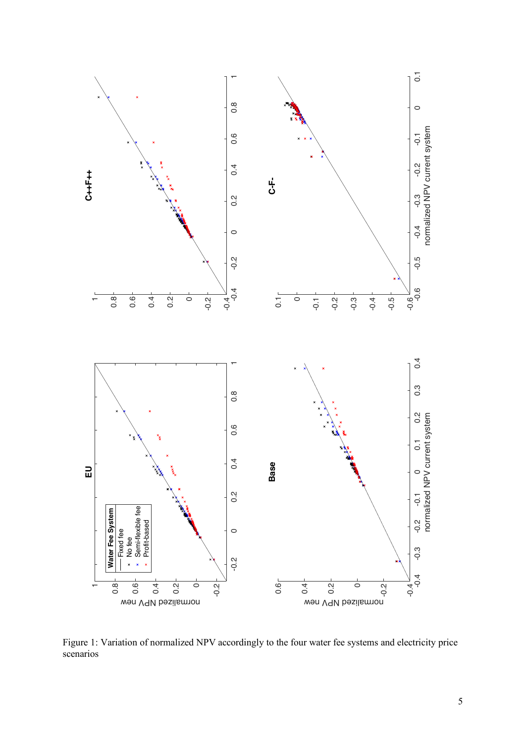

Figure 1: Variation of normalized NPV accordingly to the four water fee systems and electricity price scenarios